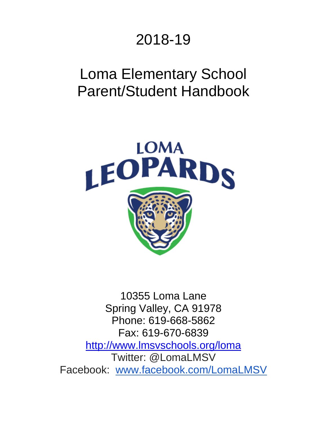# 2018-19

# Loma Elementary School Parent/Student Handbook



10355 Loma Lane Spring Valley, CA 91978 Phone: 619-668-5862 Fax: 619-670-6839 <http://www.lmsvschools.org/loma> Twitter: @LomaLMSV Facebook: [www.facebook.com/LomaLMSV](http://www.facebook.com/LomaLMSV)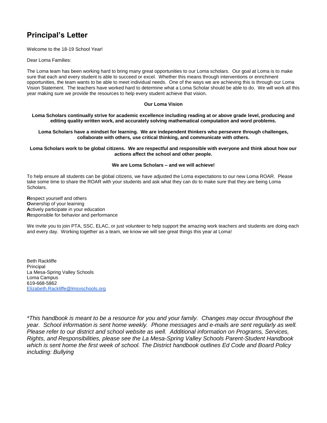## **Principal's Letter**

Welcome to the 18-19 School Year!

Dear Loma Families:

The Loma team has been working hard to bring many great opportunities to our Loma scholars. Our goal at Loma is to make sure that each and every student is able to succeed or excel. Whether this means through interventions or enrichment opportunities, the team wants to be able to meet individual needs. One of the ways we are achieving this is through our Loma Vision Statement. The teachers have worked hard to determine what a Loma Scholar should be able to do. We will work all this year making sure we provide the resources to help every student achieve that vision.

#### **Our Loma Vision**

**Loma Scholars continually strive for academic excellence including reading at or above grade level, producing and editing quality written work, and accurately solving mathematical computation and word problems.**

**Loma Scholars have a mindset for learning. We are independent thinkers who persevere through challenges, collaborate with others, use critical thinking, and communicate with others.**

**Loma Scholars work to be global citizens. We are respectful and responsible with everyone and think about how our actions affect the school and other people.**

#### **We are Loma Scholars – and we will achieve!**

To help ensure all students can be global citizens, we have adjusted the Loma expectations to our new Loma ROAR. Please take some time to share the ROAR with your students and ask what they can do to make sure that they are being Loma Scholars.

**R**espect yourself and others **O**wnership of your learning **A**ctively participate in your education **R**esponsible for behavior and performance

We invite you to join PTA, SSC, ELAC, or just volunteer to help support the amazing work teachers and students are doing each and every day. Working together as a team, we know we will see great things this year at Loma!

Beth Rackliffe **Principal** La Mesa-Spring Valley Schools Loma Campus 619-668-5862 Elizabeth.Rackliffe@lmsvschools.org

*\*This handbook is meant to be a resource for you and your family. Changes may occur throughout the year. School information is sent home weekly. Phone messages and e-mails are sent regularly as well. Please refer to our district and school website as well. Additional information on Programs, Services, Rights, and Responsibilities, please see the La Mesa-Spring Valley Schools Parent-Student Handbook which is sent home the first week of school. The District handbook outlines Ed Code and Board Policy including: Bullying*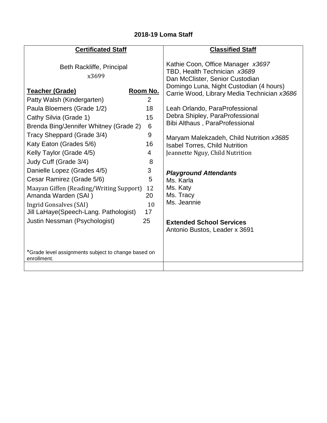## **2018-19 Loma Staff**

| <b>Certificated Staff</b>                                                                                                                                                                                                                                                                                   |                                                     | <b>Classified Staff</b>                                                                                                                                                                                   |
|-------------------------------------------------------------------------------------------------------------------------------------------------------------------------------------------------------------------------------------------------------------------------------------------------------------|-----------------------------------------------------|-----------------------------------------------------------------------------------------------------------------------------------------------------------------------------------------------------------|
| Beth Rackliffe, Principal<br>x3699<br><b>Teacher (Grade)</b>                                                                                                                                                                                                                                                | Room No.                                            | Kathie Coon, Office Manager x3697<br>TBD, Health Technician x3689<br>Dan McClister, Senior Custodian<br>Domingo Luna, Night Custodian (4 hours)<br>Carrie Wood, Library Media Technician x3686            |
| Patty Walsh (Kindergarten)                                                                                                                                                                                                                                                                                  | 2                                                   |                                                                                                                                                                                                           |
| Paula Bloemers (Grade 1/2)<br>Cathy Silvia (Grade 1)                                                                                                                                                                                                                                                        | 18<br>15                                            | Leah Orlando, ParaProfessional<br>Debra Shipley, ParaProfessional                                                                                                                                         |
| Brenda Bing/Jennifer Whitney (Grade 2)                                                                                                                                                                                                                                                                      | 6                                                   | <b>Bibi Althaus, ParaProfessional</b>                                                                                                                                                                     |
| Tracy Sheppard (Grade 3/4)<br>Katy Eaton (Grades 5/6)<br>Kelly Taylor (Grade 4/5)<br>Judy Cuff (Grade 3/4)<br>Danielle Lopez (Grades 4/5)<br>Cesar Ramirez (Grade 5/6)<br>Maayan Giffen (Reading/Writing Support)<br>Amanda Warden (SAI)<br>Ingrid Gonsalves (SAI)<br>Jill LaHaye(Speech-Lang. Pathologist) | 9<br>16<br>4<br>8<br>3<br>5<br>12<br>20<br>10<br>17 | Maryam Malekzadeh, Child Nutrition x3685<br><b>Isabel Torres, Child Nutrition</b><br>Jeannette Nguy, Child Nutrition<br><b>Playground Attendants</b><br>Ms. Karla<br>Ms. Katy<br>Ms. Tracy<br>Ms. Jeannie |
| Justin Nessman (Psychologist)                                                                                                                                                                                                                                                                               | 25                                                  | <b>Extended School Services</b><br>Antonio Bustos, Leader x 3691                                                                                                                                          |
| *Grade level assignments subject to change based on<br>enrollment.                                                                                                                                                                                                                                          |                                                     |                                                                                                                                                                                                           |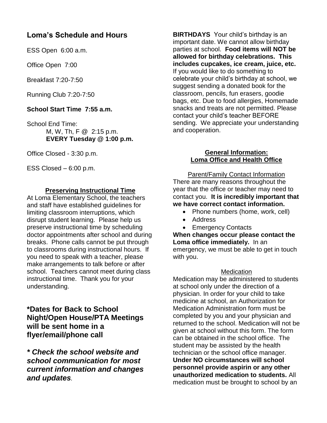## **Loma's Schedule and Hours**

ESS Open 6:00 a.m.

Office Open 7:00

Breakfast 7:20-7:50

Running Club 7:20-7:50

### **School Start Time 7:55 a.m.**

School End Time: M, W, Th, F @ 2:15 p.m. **EVERY Tuesday @ 1:00 p.m.**

Office Closed - 3:30 p.m.

ESS Closed – 6:00 p.m.

#### **Preserving Instructional Time**

At Loma Elementary School, the teachers and staff have established guidelines for limiting classroom interruptions, which disrupt student learning. Please help us preserve instructional time by scheduling doctor appointments after school and during breaks. Phone calls cannot be put through to classrooms during instructional hours. If you need to speak with a teacher, please make arrangements to talk before or after school. Teachers cannot meet during class instructional time. Thank you for your understanding.

**\*Dates for Back to School Night/Open House/PTA Meetings will be sent home in a flyer/email/phone call**

*\* Check the school website and school communication for most current information and changes and updates.*

**BIRTHDAYS** Your child's birthday is an important date. We cannot allow birthday parties at school. **Food items will NOT be allowed for birthday celebrations. This includes cupcakes, ice cream, juice, etc.** If you would like to do something to celebrate your child's birthday at school, we suggest sending a donated book for the classroom, pencils, fun erasers, goodie bags, etc. Due to food allergies, Homemade snacks and treats are not permitted. Please contact your child's teacher BEFORE sending. We appreciate your understanding and cooperation.

#### **General Information: Loma Office and Health Office**

Parent/Family Contact Information There are many reasons throughout the year that the office or teacher may need to contact you. **It is incredibly important that we have correct contact information.**

- Phone numbers (home, work, cell)
- Address
- Emergency Contacts

**When changes occur please contact the Loma office immediately.** In an emergency, we must be able to get in touch with you.

#### **Medication**

Medication may be administered to students at school only under the direction of a physician. In order for your child to take medicine at school, an Authorization for Medication Administration form must be completed by you and your physician and returned to the school. Medication will not be given at school without this form. The form can be obtained in the school office. The student may be assisted by the health technician or the school office manager. **Under NO circumstances will school personnel provide aspirin or any other unauthorized medication to students.** All medication must be brought to school by an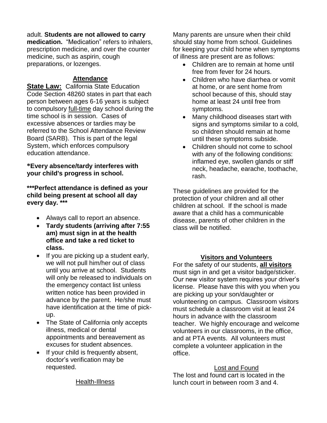adult. **Students are not allowed to carry**

**medication.** "Medication" refers to inhalers, prescription medicine, and over the counter medicine, such as aspirin, cough preparations, or lozenges.

#### **Attendance**

**State Law: California State Education** Code Section 48260 states in part that each person between ages 6-16 years is subject to compulsory full-time day school during the time school is in session. Cases of excessive absences or tardies may be referred to the School Attendance Review Board (SARB). This is part of the legal System, which enforces compulsory education attendance.

**\*Every absence/tardy interferes with your child's progress in school.** 

**\*\*\*Perfect attendance is defined as your child being present at school all day every day. \*\*\***

- Always call to report an absence.
- **Tardy students (arriving after 7:55 am) must sign in at the health office and take a red ticket to class.**
- $\bullet$  If you are picking up a student early, we will not pull him/her out of class until you arrive at school. Students will only be released to individuals on the emergency contact list unless written notice has been provided in advance by the parent. He/she must have identification at the time of pickup.
- The State of California only accepts illness, medical or dental appointments and bereavement as excuses for student absences.
- If your child is frequently absent, doctor's verification may be requested.

Health-Illness

Many parents are unsure when their child should stay home from school. Guidelines for keeping your child home when symptoms of illness are present are as follows:

- Children are to remain at home until free from fever for 24 hours.
- Children who have diarrhea or vomit at home, or are sent home from school because of this, should stay home at least 24 until free from symptoms.
- Many childhood diseases start with signs and symptoms similar to a cold, so children should remain at home until these symptoms subside.
- Children should not come to school with any of the following conditions: inflamed eye, swollen glands or stiff neck, headache, earache, toothache, rash.

These guidelines are provided for the protection of your children and all other children at school. If the school is made aware that a child has a communicable disease, parents of other children in the class will be notified.

#### **Visitors and Volunteers**

For the safety of our students, **all visitors** must sign in and get a visitor badge/sticker. Our new visitor system requires your driver's license. Please have this with you when you are picking up your son/daughter or volunteering on campus. Classroom visitors must schedule a classroom visit at least 24 hours in advance with the classroom teacher. We highly encourage and welcome volunteers in our classrooms, in the office, and at PTA events. All volunteers must complete a volunteer application in the office.

#### Lost and Found

The lost and found cart is located in the lunch court in between room 3 and 4.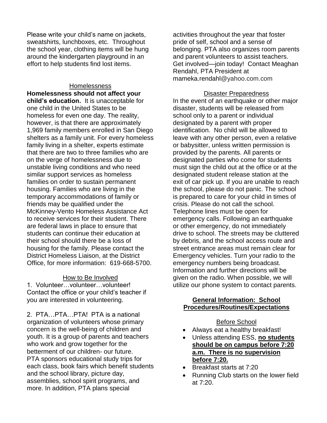Please write your child's name on jackets, sweatshirts, lunchboxes, etc. Throughout the school year, clothing items will be hung around the kindergarten playground in an effort to help students find lost items.

#### Homelessness

**Homelessness should not affect your child's education.** It is unacceptable for one child in the United States to be homeless for even one day. The reality, however, is that there are approximately 1,969 family members enrolled in San Diego shelters as a family unit. For every homeless family living in a shelter, experts estimate that there are two to three families who are on the verge of homelessness due to unstable living conditions and who need similar support services as homeless families on order to sustain permanent housing. Families who are living in the temporary accommodations of family or friends may be qualified under the McKinney-Vento Homeless Assistance Act to receive services for their student. There are federal laws in place to ensure that students can continue their education at their school should there be a loss of housing for the family. Please contact the District Homeless Liaison, at the District Office, for more information: 619-668-5700.

#### How to Be Involved

1. Volunteer…volunteer…volunteer! Contact the office or your child's teacher if you are interested in volunteering.

2. PTA…PTA…PTA! PTA is a national organization of volunteers whose primary concern is the well-being of children and youth. It is a group of parents and teachers who work and grow together for the betterment of our children- our future. PTA sponsors educational study trips for each class, book fairs which benefit students and the school library, picture day, assemblies, school spirit programs, and more. In addition, PTA plans special

activities throughout the year that foster pride of self, school and a sense of belonging. PTA also organizes room parents and parent volunteers to assist teachers. Get involved—join today! Contact Meaghan Rendahl, PTA President at mameka.rendahl@yahoo.com.com

#### Disaster Preparedness

In the event of an earthquake or other major disaster, students will be released from school only to a parent or individual designated by a parent with proper identification. No child will be allowed to leave with any other person, even a relative or babysitter, unless written permission is provided by the parents. All parents or designated parties who come for students must sign the child out at the office or at the designated student release station at the exit of car pick up. If you are unable to reach the school, please do not panic. The school is prepared to care for your child in times of crisis. Please do not call the school. Telephone lines must be open for emergency calls. Following an earthquake or other emergency, do not immediately drive to school. The streets may be cluttered by debris, and the school access route and street entrance areas must remain clear for Emergency vehicles. Turn your radio to the emergency numbers being broadcast. Information and further directions will be given on the radio. When possible, we will utilize our phone system to contact parents.

#### **General Information: School Procedures/Routines/Expectations**

#### Before School

- Always eat a healthy breakfast!
- Unless attending ESS, **no students should be on campus before 7:20 a.m. There is no supervision before 7:20.**
- Breakfast starts at 7:20
- Running Club starts on the lower field at 7:20.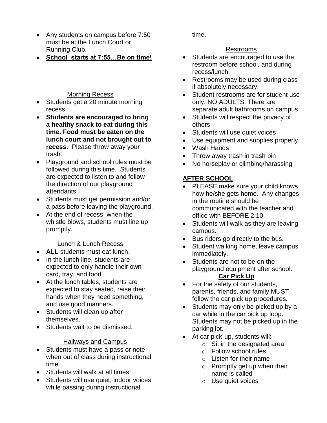- Any students on campus before 7:50 must be at the Lunch Court or Running Club.
- **School starts at 7:55…Be on time!**

### Morning Recess

- Students get a 20 minute morning recess.
- **Students are encouraged to bring a healthy snack to eat during this time. Food must be eaten on the lunch court and not brought out to recess.** Please throw away your trash.
- Playground and school rules must be followed during this time. Students are expected to listen to and follow the direction of our playground attendants.
- Students must get permission and/or a pass before leaving the playground.
- At the end of recess, when the whistle blows, students must line up promptly.

#### Lunch & Lunch Recess

- **ALL** students must eat lunch.
- In the lunch line, students are expected to only handle their own card, tray, and food.
- At the lunch tables, students are expected to stay seated, raise their hands when they need something, and use good manners.
- Students will clean up after themselves.
- Students wait to be dismissed.

#### Hallways and Campus

- Students must have a pass or note when out of class during instructional time.
- Students will walk at all times.
- Students will use quiet, indoor voices while passing during instructional

time.

### Restrooms

- Students are encouraged to use the restroom before school, and during recess/lunch.
- Restrooms may be used during class if absolutely necessary.
- Student restrooms are for student use only. NO ADULTS. There are separate adult bathrooms on campus.
- Students will respect the privacy of others
- Students will use quiet voices
- Use equipment and supplies properly
- Wash Hands
- Throw away trash in trash bin
- No horseplay or climbing/harassing

## **AFTER SCHOOL**

- PLEASE make sure your child knows how he/she gets home. Any changes in the routine should be communicated with the teacher and office with BEFORE 2:10
- Students will walk as they are leaving campus.
- Bus riders go directly to the bus.
- Student walking home, leave campus immediately.
- Students are not to be on the playground equipment after school. **Car Pick Up**
- For the safety of our students, parents, friends, and family MUST follow the car pick up procedures.
- Students may only be picked up by a car while in the car pick up loop. Students may not be picked up in the parking lot.
- At car pick-up, students will:
	- $\circ$  Sit in the designated area
	- o Follow school rules
	- o Listen for their name
	- $\circ$  Promptly get up when their name is called
	- o Use quiet voices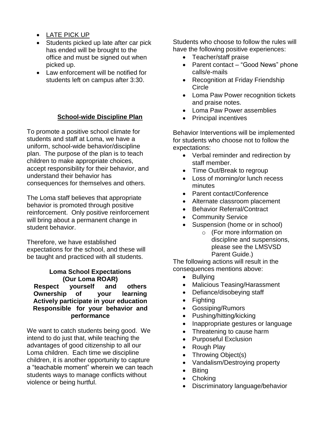- LATE PICK UP
- Students picked up late after car pick has ended will be brought to the office and must be signed out when picked up.
- Law enforcement will be notified for students left on campus after 3:30.

### **School-wide Discipline Plan**

To promote a positive school climate for students and staff at Loma, we have a uniform, school-wide behavior/discipline plan. The purpose of the plan is to teach children to make appropriate choices, accept responsibility for their behavior, and understand their behavior has consequences for themselves and others.

The Loma staff believes that appropriate behavior is promoted through positive reinforcement. Only positive reinforcement will bring about a permanent change in student behavior.

Therefore, we have established expectations for the school, and these will be taught and practiced with all students.

**Loma School Expectations (Our Loma ROAR) Respect yourself and others Ownership of your learning Actively participate in your education Responsible for your behavior and performance**

We want to catch students being good. We intend to do just that, while teaching the advantages of good citizenship to all our Loma children. Each time we discipline children, it is another opportunity to capture a "teachable moment" wherein we can teach students ways to manage conflicts without violence or being hurtful.

Students who choose to follow the rules will have the following positive experiences:

- Teacher/staff praise
- Parent contact "Good News" phone calls/e-mails
- Recognition at Friday Friendship **Circle**
- Loma Paw Power recognition tickets and praise notes.
- Loma Paw Power assemblies
- Principal incentives

Behavior Interventions will be implemented for students who choose not to follow the expectations:

- Verbal reminder and redirection by staff member.
- Time Out/Break to regroup
- Loss of morning/or lunch recess minutes
- Parent contact/Conference
- Alternate classroom placement
- Behavior Referral/Contract
- Community Service
- Suspension (home or in school)
	- o (For more information on discipline and suspensions, please see the LMSVSD Parent Guide.)

The following actions will result in the consequences mentions above:

- Bullying
- Malicious Teasing/Harassment
- Defiance/disobeying staff
- Fighting
- Gossiping/Rumors
- Pushing/hitting/kicking
- Inappropriate gestures or language
- Threatening to cause harm
- Purposeful Exclusion
- Rough Play
- Throwing Object(s)
- Vandalism/Destroying property
- Biting
- Choking
- Discriminatory language/behavior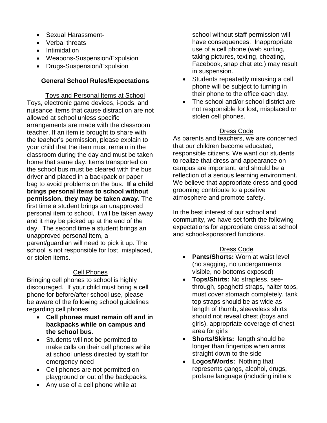- Sexual Harassment-
- Verbal threats
- Intimidation
- Weapons-Suspension/Expulsion
- Drugs-Suspension/Expulsion

#### **General School Rules/Expectations**

Toys and Personal Items at School Toys, electronic game devices, i-pods, and nuisance items that cause distraction are not allowed at school unless specific arrangements are made with the classroom teacher. If an item is brought to share with the teacher's permission, please explain to your child that the item must remain in the classroom during the day and must be taken home that same day. Items transported on the school bus must be cleared with the bus driver and placed in a backpack or paper bag to avoid problems on the bus. **If a child brings personal items to school without permission, they may be taken away.** The first time a student brings an unapproved personal item to school, it will be taken away and it may be picked up at the end of the day. The second time a student brings an unapproved personal item, a parent/guardian will need to pick it up. The school is not responsible for lost, misplaced, or stolen items.

#### Cell Phones

Bringing cell phones to school is highly discouraged. If your child must bring a cell phone for before/after school use, please be aware of the following school guidelines regarding cell phones:

- **Cell phones must remain off and in backpacks while on campus and the school bus.**
- Students will not be permitted to make calls on their cell phones while at school unless directed by staff for emergency need
- Cell phones are not permitted on playground or out of the backpacks.
- Any use of a cell phone while at

school without staff permission will have consequences. Inappropriate use of a cell phone (web surfing, taking pictures, texting, cheating, Facebook, snap chat etc.) may result in suspension.

- Students repeatedly misusing a cell phone will be subject to turning in their phone to the office each day.
- The school and/or school district are not responsible for lost, misplaced or stolen cell phones.

#### Dress Code

As parents and teachers, we are concerned that our children become educated, responsible citizens. We want our students to realize that dress and appearance on campus are important, and should be a reflection of a serious learning environment. We believe that appropriate dress and good grooming contribute to a positive atmosphere and promote safety.

In the best interest of our school and community, we have set forth the following expectations for appropriate dress at school and school-sponsored functions.

#### Dress Code

- **Pants/Shorts:** Worn at waist level (no sagging, no undergarments visible, no bottoms exposed)
- **Tops/Shirts:** No strapless, seethrough, spaghetti straps, halter tops, must cover stomach completely, tank top straps should be as wide as length of thumb, sleeveless shirts should not reveal chest (boys and girls), appropriate coverage of chest area for girls
- **Shorts/Skirts:** length should be longer than fingertips when arms straight down to the side
- **Logos/Words:** Nothing that represents gangs, alcohol, drugs, profane language (including initials